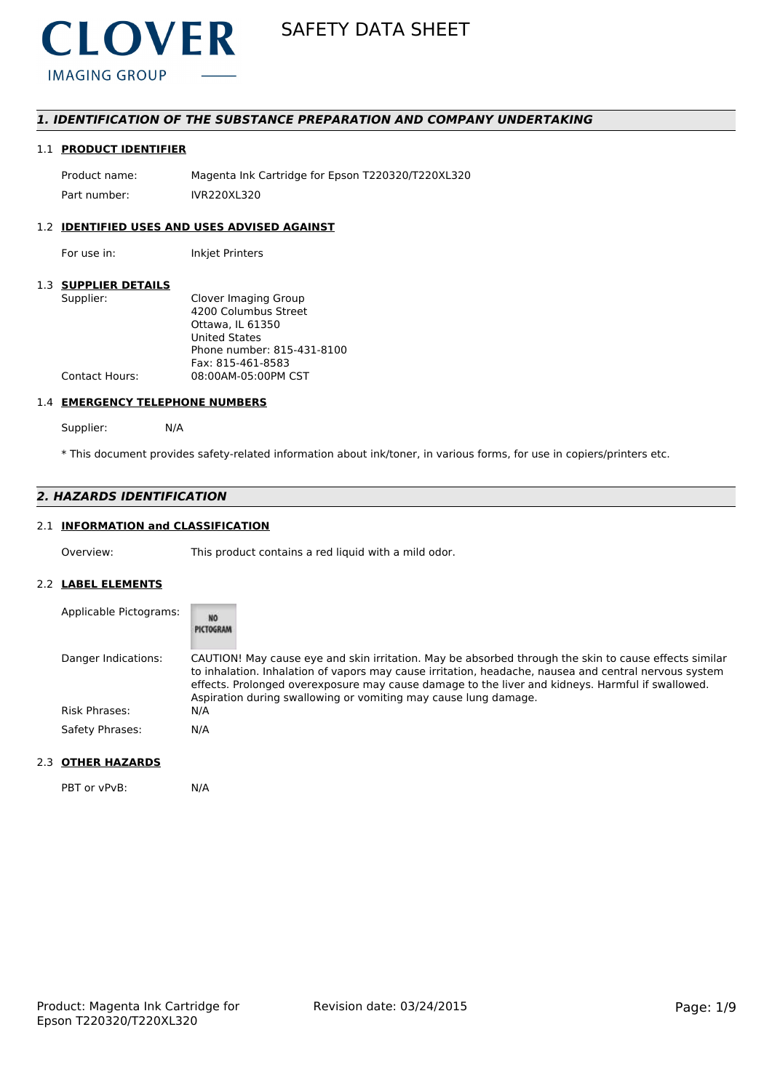

# *1. IDENTIFICATION OF THE SUBSTANCE PREPARATION AND COMPANY UNDERTAKING*

## 1.1 **PRODUCT IDENTIFIER**

Product name: Magenta Ink Cartridge for Epson T220320/T220XL320 Part number: IVR220XL320

# 1.2 **IDENTIFIED USES AND USES ADVISED AGAINST**

For use in: Inkjet Printers

#### 1.3 **SUPPLIER DETAILS**

| Supplier:             | Clover Imaging Group       |
|-----------------------|----------------------------|
|                       | 4200 Columbus Street       |
|                       | Ottawa. IL 61350           |
|                       | <b>United States</b>       |
|                       | Phone number: 815-431-8100 |
|                       | Fax: 815-461-8583          |
| <b>Contact Hours:</b> | 08:00AM-05:00PM CST        |
|                       |                            |

#### 1.4 **EMERGENCY TELEPHONE NUMBERS**

Supplier: N/A

\* This document provides safety-related information about ink/toner, in various forms, for use in copiers/printers etc.

# *2. HAZARDS IDENTIFICATION*

# 2.1 **INFORMATION and CLASSIFICATION**

Overview: This product contains a red liquid with a mild odor.

### 2.2 **LABEL ELEMENTS**

| Applicable Pictograms: | <b>NO</b><br>PICTOGRAM                                                                                                                                                                                                                                                                                                                                                                |
|------------------------|---------------------------------------------------------------------------------------------------------------------------------------------------------------------------------------------------------------------------------------------------------------------------------------------------------------------------------------------------------------------------------------|
| Danger Indications:    | CAUTION! May cause eye and skin irritation. May be absorbed through the skin to cause effects similar<br>to inhalation. Inhalation of vapors may cause irritation, headache, nausea and central nervous system<br>effects. Prolonged overexposure may cause damage to the liver and kidneys. Harmful if swallowed.<br>Aspiration during swallowing or vomiting may cause lung damage. |
| Risk Phrases:          | N/A                                                                                                                                                                                                                                                                                                                                                                                   |
| Safety Phrases:        | N/A                                                                                                                                                                                                                                                                                                                                                                                   |

# 2.3 **OTHER HAZARDS**

PBT or vPvB: N/A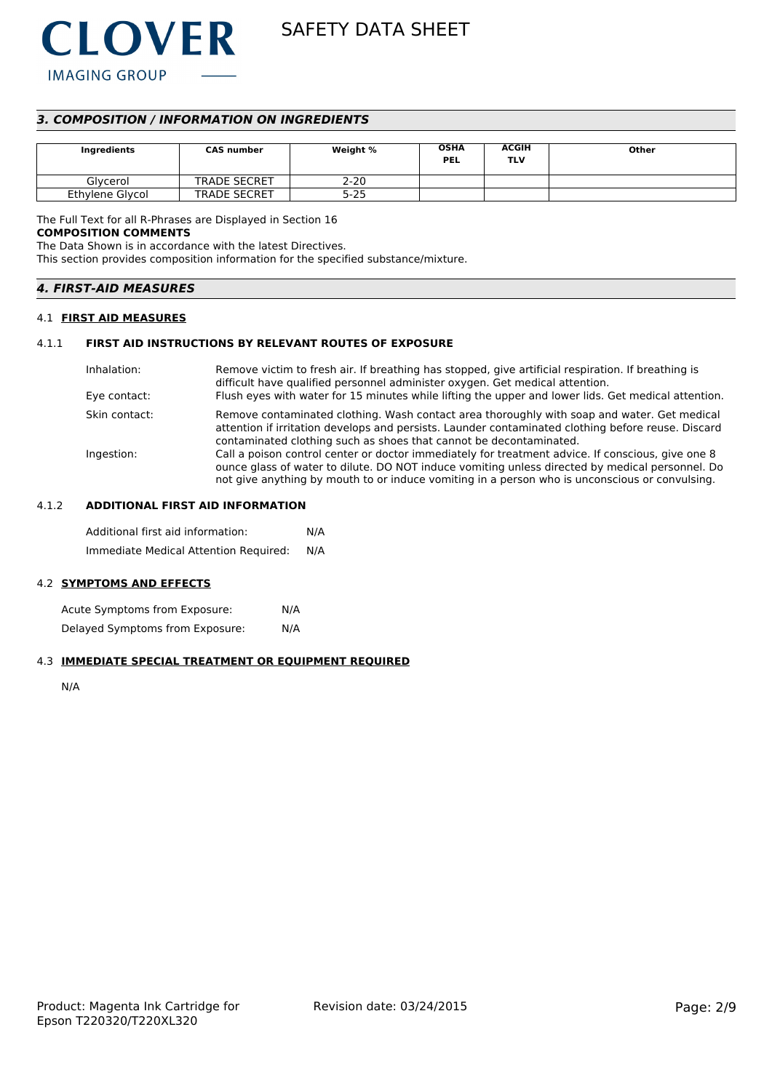

# *3. COMPOSITION / INFORMATION ON INGREDIENTS*

| Ingredients     | <b>CAS number</b>   | Weight % | <b>OSHA</b><br><b>PEL</b> | <b>ACGIH</b><br>TLV | Other |
|-----------------|---------------------|----------|---------------------------|---------------------|-------|
| Glvcerol        | <b>TRADE SECRET</b> | $2 - 20$ |                           |                     |       |
| Ethylene Glycol | <b>TRADE SECRET</b> | 5-25     |                           |                     |       |

The Full Text for all R-Phrases are Displayed in Section 16

#### **COMPOSITION COMMENTS**

The Data Shown is in accordance with the latest Directives.

This section provides composition information for the specified substance/mixture.

| <b>4. FIRST-AID MEASURES</b> |
|------------------------------|
|------------------------------|

#### 4.1 **FIRST AID MEASURES**

### 4.1.1 **FIRST AID INSTRUCTIONS BY RELEVANT ROUTES OF EXPOSURE**

| Inhalation:<br>Eye contact: | Remove victim to fresh air. If breathing has stopped, give artificial respiration. If breathing is<br>difficult have qualified personnel administer oxygen. Get medical attention.<br>Flush eyes with water for 15 minutes while lifting the upper and lower lids. Get medical attention.              |
|-----------------------------|--------------------------------------------------------------------------------------------------------------------------------------------------------------------------------------------------------------------------------------------------------------------------------------------------------|
|                             |                                                                                                                                                                                                                                                                                                        |
| Skin contact:               | Remove contaminated clothing. Wash contact area thoroughly with soap and water. Get medical<br>attention if irritation develops and persists. Launder contaminated clothing before reuse. Discard<br>contaminated clothing such as shoes that cannot be decontaminated.                                |
| Ingestion:                  | Call a poison control center or doctor immediately for treatment advice. If conscious, give one 8<br>ounce glass of water to dilute. DO NOT induce vomiting unless directed by medical personnel. Do<br>not give anything by mouth to or induce vomiting in a person who is unconscious or convulsing. |

# 4.1.2 **ADDITIONAL FIRST AID INFORMATION**

Additional first aid information: N/A Immediate Medical Attention Required: N/A

#### 4.2 **SYMPTOMS AND EFFECTS**

Acute Symptoms from Exposure: N/A Delayed Symptoms from Exposure: N/A

#### 4.3 **IMMEDIATE SPECIAL TREATMENT OR EQUIPMENT REQUIRED**

N/A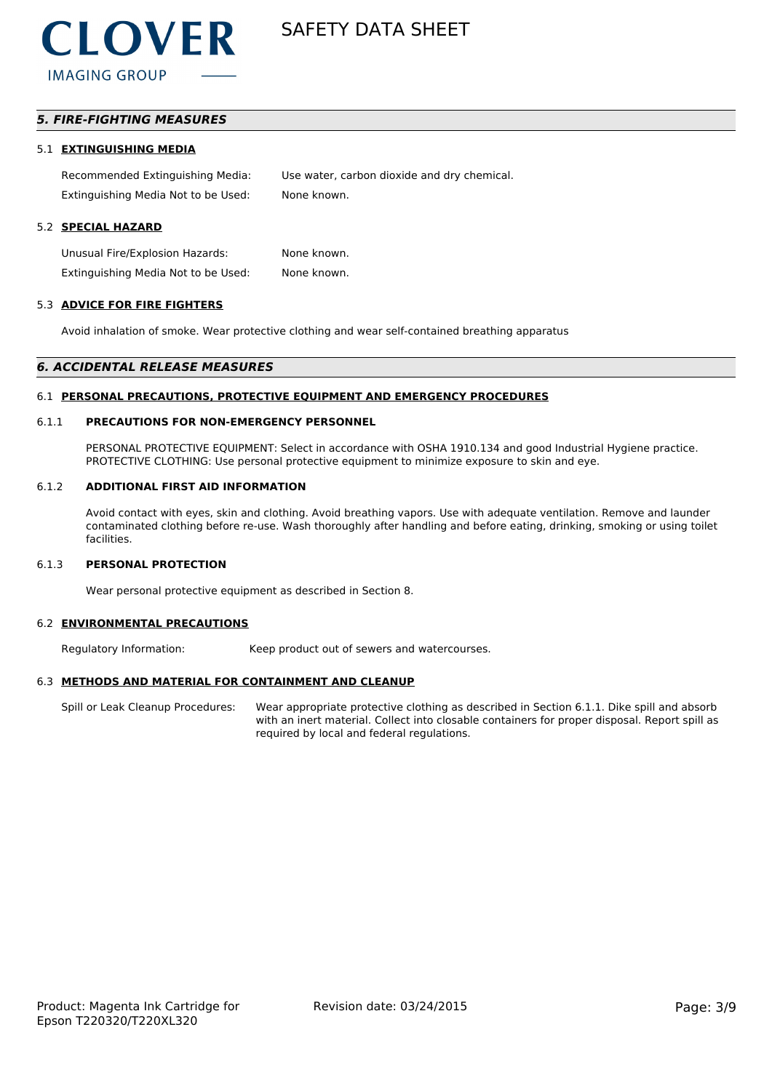

# *5. FIRE-FIGHTING MEASURES*

#### 5.1 **EXTINGUISHING MEDIA**

Recommended Extinguishing Media: Use water, carbon dioxide and dry chemical. Extinguishing Media Not to be Used: None known.

#### 5.2 **SPECIAL HAZARD**

Unusual Fire/Explosion Hazards: None known. Extinguishing Media Not to be Used: None known.

#### 5.3 **ADVICE FOR FIRE FIGHTERS**

Avoid inhalation of smoke. Wear protective clothing and wear self-contained breathing apparatus

#### *6. ACCIDENTAL RELEASE MEASURES*

#### 6.1 **PERSONAL PRECAUTIONS, PROTECTIVE EQUIPMENT AND EMERGENCY PROCEDURES**

#### 6.1.1 **PRECAUTIONS FOR NON-EMERGENCY PERSONNEL**

PERSONAL PROTECTIVE EQUIPMENT: Select in accordance with OSHA 1910.134 and good Industrial Hygiene practice. PROTECTIVE CLOTHING: Use personal protective equipment to minimize exposure to skin and eye.

#### 6.1.2 **ADDITIONAL FIRST AID INFORMATION**

Avoid contact with eyes, skin and clothing. Avoid breathing vapors. Use with adequate ventilation. Remove and launder contaminated clothing before re-use. Wash thoroughly after handling and before eating, drinking, smoking or using toilet facilities.

#### 6.1.3 **PERSONAL PROTECTION**

Wear personal protective equipment as described in Section 8.

#### 6.2 **ENVIRONMENTAL PRECAUTIONS**

Regulatory Information: Keep product out of sewers and watercourses.

#### 6.3 **METHODS AND MATERIAL FOR CONTAINMENT AND CLEANUP**

Spill or Leak Cleanup Procedures: Wear appropriate protective clothing as described in Section 6.1.1. Dike spill and absorb with an inert material. Collect into closable containers for proper disposal. Report spill as required by local and federal regulations.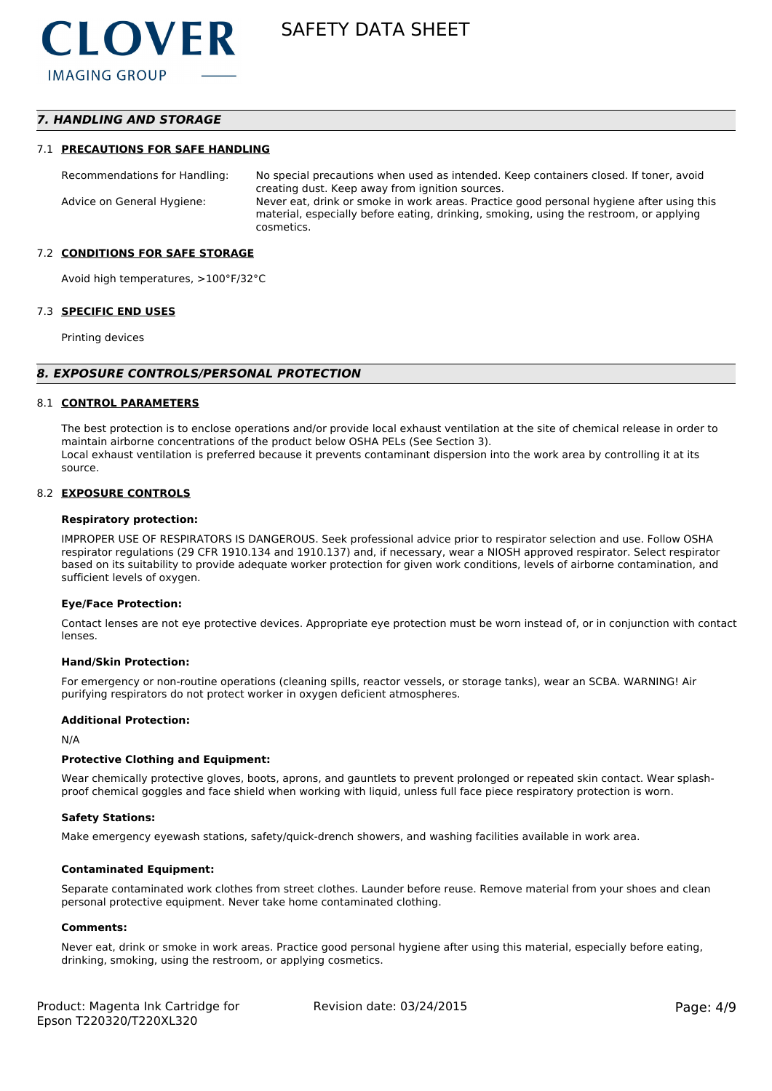# *7. HANDLING AND STORAGE*

#### 7.1 **PRECAUTIONS FOR SAFE HANDLING**

Recommendations for Handling: No special precautions when used as intended. Keep containers closed. If toner, avoid creating dust. Keep away from ignition sources. Advice on General Hygiene: Never eat, drink or smoke in work areas. Practice good personal hygiene after using this material, especially before eating, drinking, smoking, using the restroom, or applying cosmetics.

#### 7.2 **CONDITIONS FOR SAFE STORAGE**

Avoid high temperatures, >100°F/32°C

#### 7.3 **SPECIFIC END USES**

Printing devices

#### *8. EXPOSURE CONTROLS/PERSONAL PROTECTION*

#### 8.1 **CONTROL PARAMETERS**

The best protection is to enclose operations and/or provide local exhaust ventilation at the site of chemical release in order to maintain airborne concentrations of the product below OSHA PELs (See Section 3). Local exhaust ventilation is preferred because it prevents contaminant dispersion into the work area by controlling it at its source.

#### 8.2 **EXPOSURE CONTROLS**

#### **Respiratory protection:**

IMPROPER USE OF RESPIRATORS IS DANGEROUS. Seek professional advice prior to respirator selection and use. Follow OSHA respirator regulations (29 CFR 1910.134 and 1910.137) and, if necessary, wear a NIOSH approved respirator. Select respirator based on its suitability to provide adequate worker protection for given work conditions, levels of airborne contamination, and sufficient levels of oxygen.

#### **Eye/Face Protection:**

Contact lenses are not eye protective devices. Appropriate eye protection must be worn instead of, or in conjunction with contact lenses.

#### **Hand/Skin Protection:**

For emergency or non-routine operations (cleaning spills, reactor vessels, or storage tanks), wear an SCBA. WARNING! Air purifying respirators do not protect worker in oxygen deficient atmospheres.

#### **Additional Protection:**

N/A

#### **Protective Clothing and Equipment:**

Wear chemically protective gloves, boots, aprons, and gauntlets to prevent prolonged or repeated skin contact. Wear splashproof chemical goggles and face shield when working with liquid, unless full face piece respiratory protection is worn.

#### **Safety Stations:**

Make emergency eyewash stations, safety/quick-drench showers, and washing facilities available in work area.

#### **Contaminated Equipment:**

Separate contaminated work clothes from street clothes. Launder before reuse. Remove material from your shoes and clean personal protective equipment. Never take home contaminated clothing.

#### **Comments:**

Never eat, drink or smoke in work areas. Practice good personal hygiene after using this material, especially before eating, drinking, smoking, using the restroom, or applying cosmetics.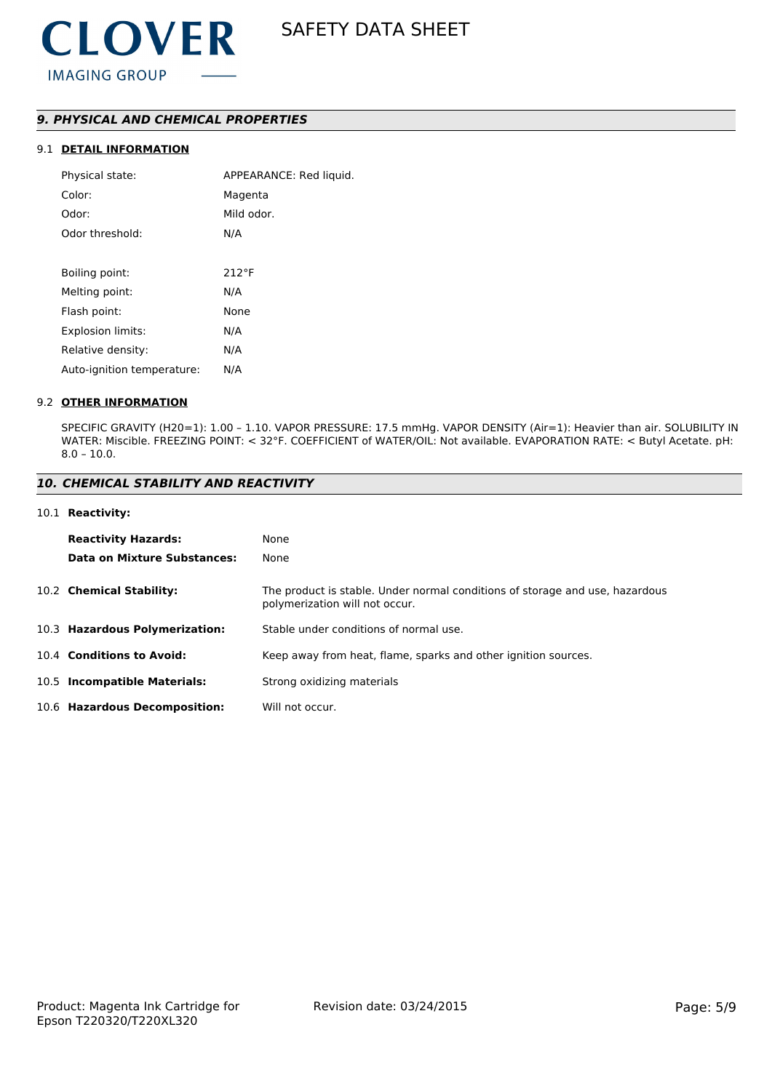# *9. PHYSICAL AND CHEMICAL PROPERTIES*

# 9.1 **DETAIL INFORMATION**

| Physical state:            | APPEARANCE: Red liquid. |
|----------------------------|-------------------------|
| Color:                     | Magenta                 |
| Odor:                      | Mild odor.              |
| Odor threshold:            | N/A                     |
|                            |                         |
| Boiling point:             | $212^{\circ}F$          |
| Melting point:             | N/A                     |
| Flash point:               | None                    |
| Explosion limits:          | N/A                     |
| Relative density:          | N/A                     |
| Auto-ignition temperature: | N/A                     |

#### 9.2 **OTHER INFORMATION**

SPECIFIC GRAVITY (H20=1): 1.00 – 1.10. VAPOR PRESSURE: 17.5 mmHg. VAPOR DENSITY (Air=1): Heavier than air. SOLUBILITY IN WATER: Miscible. FREEZING POINT: < 32°F. COEFFICIENT of WATER/OIL: Not available. EVAPORATION RATE: < Butyl Acetate. pH: 8.0 – 10.0.

#### *10. CHEMICAL STABILITY AND REACTIVITY*

#### 10.1 **Reactivity:**

| <b>Reactivity Hazards:</b>     | None                                                                                                           |
|--------------------------------|----------------------------------------------------------------------------------------------------------------|
| Data on Mixture Substances:    | None                                                                                                           |
| 10.2 Chemical Stability:       | The product is stable. Under normal conditions of storage and use, hazardous<br>polymerization will not occur. |
| 10.3 Hazardous Polymerization: | Stable under conditions of normal use.                                                                         |
| 10.4 Conditions to Avoid:      | Keep away from heat, flame, sparks and other ignition sources.                                                 |
| 10.5 Incompatible Materials:   | Strong oxidizing materials                                                                                     |
| 10.6 Hazardous Decomposition:  | Will not occur.                                                                                                |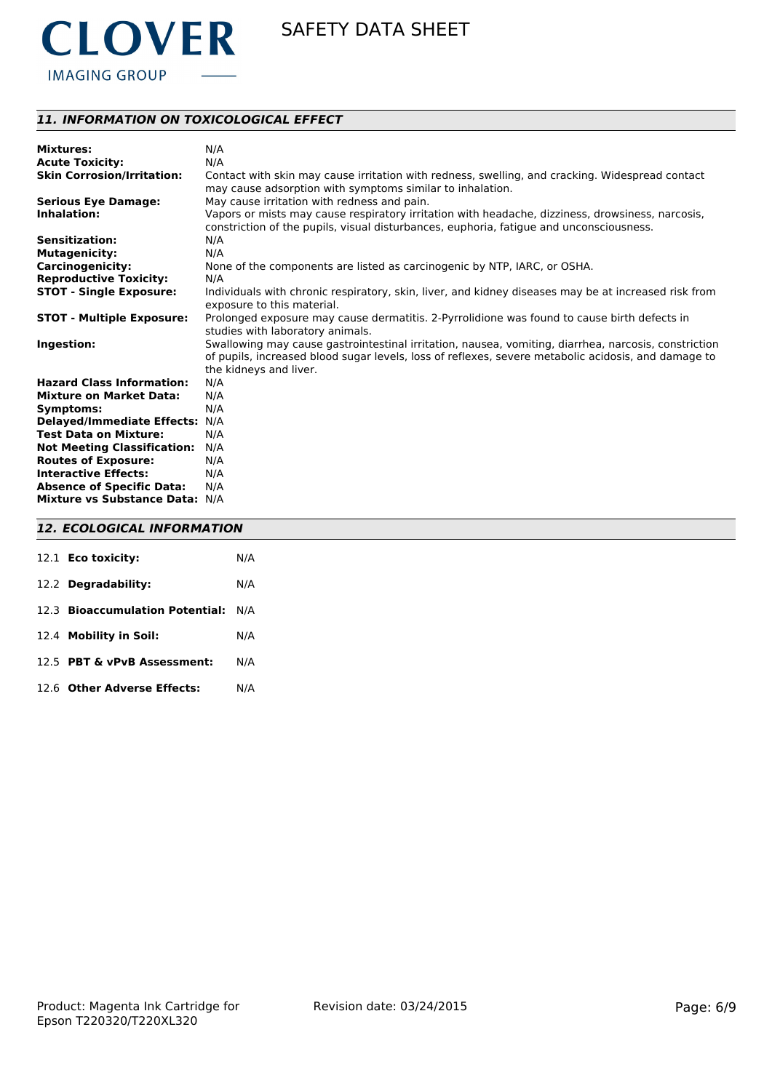

# *11. INFORMATION ON TOXICOLOGICAL EFFECT*

| <b>Mixtures:</b>                   | N/A                                                                                                                                                                                                                                   |
|------------------------------------|---------------------------------------------------------------------------------------------------------------------------------------------------------------------------------------------------------------------------------------|
| <b>Acute Toxicity:</b>             | N/A                                                                                                                                                                                                                                   |
| <b>Skin Corrosion/Irritation:</b>  | Contact with skin may cause irritation with redness, swelling, and cracking. Widespread contact<br>may cause adsorption with symptoms similar to inhalation.                                                                          |
| <b>Serious Eye Damage:</b>         | May cause irritation with redness and pain.                                                                                                                                                                                           |
| Inhalation:                        | Vapors or mists may cause respiratory irritation with headache, dizziness, drowsiness, narcosis,<br>constriction of the pupils, visual disturbances, euphoria, fatique and unconsciousness.                                           |
| <b>Sensitization:</b>              | N/A                                                                                                                                                                                                                                   |
| <b>Mutagenicity:</b>               | N/A                                                                                                                                                                                                                                   |
| <b>Carcinogenicity:</b>            | None of the components are listed as carcinogenic by NTP, IARC, or OSHA.                                                                                                                                                              |
| <b>Reproductive Toxicity:</b>      | N/A                                                                                                                                                                                                                                   |
| <b>STOT - Single Exposure:</b>     | Individuals with chronic respiratory, skin, liver, and kidney diseases may be at increased risk from<br>exposure to this material.                                                                                                    |
| <b>STOT - Multiple Exposure:</b>   | Prolonged exposure may cause dermatitis. 2-Pyrrolidione was found to cause birth defects in<br>studies with laboratory animals.                                                                                                       |
| Ingestion:                         | Swallowing may cause gastrointestinal irritation, nausea, vomiting, diarrhea, narcosis, constriction<br>of pupils, increased blood sugar levels, loss of reflexes, severe metabolic acidosis, and damage to<br>the kidneys and liver. |
| <b>Hazard Class Information:</b>   | N/A                                                                                                                                                                                                                                   |
| <b>Mixture on Market Data:</b>     | N/A                                                                                                                                                                                                                                   |
| Symptoms:                          | N/A                                                                                                                                                                                                                                   |
| Delayed/Immediate Effects: N/A     |                                                                                                                                                                                                                                       |
| <b>Test Data on Mixture:</b>       | N/A                                                                                                                                                                                                                                   |
| <b>Not Meeting Classification:</b> | N/A                                                                                                                                                                                                                                   |
| <b>Routes of Exposure:</b>         | N/A                                                                                                                                                                                                                                   |
| <b>Interactive Effects:</b>        | N/A                                                                                                                                                                                                                                   |
| <b>Absence of Specific Data:</b>   | N/A                                                                                                                                                                                                                                   |
| Mixture vs Substance Data: N/A     |                                                                                                                                                                                                                                       |

### *12. ECOLOGICAL INFORMATION*

| 12.1 Eco toxicity:                  | N/A |
|-------------------------------------|-----|
| 12.2 Degradability:                 | N/A |
| 12.3 Bioaccumulation Potential: N/A |     |
| 12.4 Mobility in Soil:              | N/A |
| 12.5 PBT & vPvB Assessment:         | N/A |
| 12.6 Other Adverse Effects:         | N/A |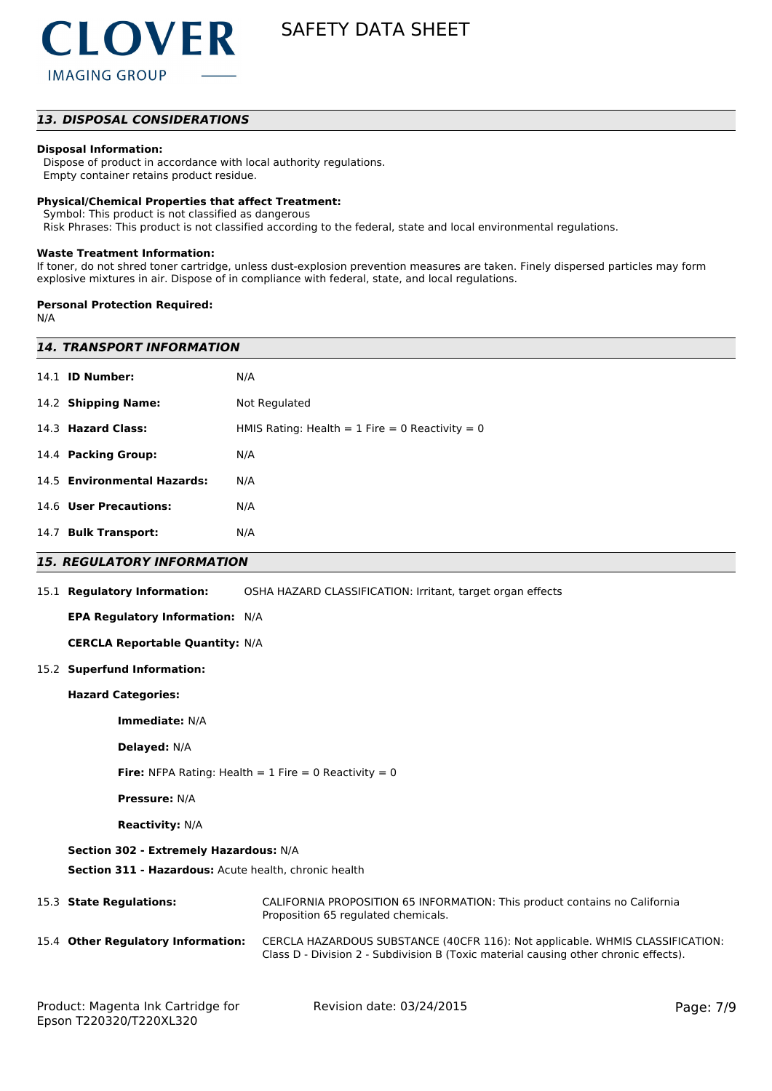

### *13. DISPOSAL CONSIDERATIONS*

#### **Disposal Information:**

 Dispose of product in accordance with local authority regulations. Empty container retains product residue.

#### **Physical/Chemical Properties that affect Treatment:**

Symbol: This product is not classified as dangerous

Risk Phrases: This product is not classified according to the federal, state and local environmental regulations.

#### **Waste Treatment Information:**

If toner, do not shred toner cartridge, unless dust-explosion prevention measures are taken. Finely dispersed particles may form explosive mixtures in air. Dispose of in compliance with federal, state, and local regulations.

#### **Personal Protection Required:**

N/A

| <i><b>14. TRANSPORT INFORMATION</b></i>                 |                                                                                                                                                                                                                                                                                                                   |  |  |  |
|---------------------------------------------------------|-------------------------------------------------------------------------------------------------------------------------------------------------------------------------------------------------------------------------------------------------------------------------------------------------------------------|--|--|--|
|                                                         | N/A                                                                                                                                                                                                                                                                                                               |  |  |  |
|                                                         | Not Regulated                                                                                                                                                                                                                                                                                                     |  |  |  |
|                                                         | HMIS Rating: Health = $1$ Fire = 0 Reactivity = 0                                                                                                                                                                                                                                                                 |  |  |  |
|                                                         | N/A                                                                                                                                                                                                                                                                                                               |  |  |  |
|                                                         | N/A                                                                                                                                                                                                                                                                                                               |  |  |  |
|                                                         | N/A                                                                                                                                                                                                                                                                                                               |  |  |  |
|                                                         | N/A                                                                                                                                                                                                                                                                                                               |  |  |  |
|                                                         |                                                                                                                                                                                                                                                                                                                   |  |  |  |
|                                                         | OSHA HAZARD CLASSIFICATION: Irritant, target organ effects                                                                                                                                                                                                                                                        |  |  |  |
| EPA Regulatory Information: N/A                         |                                                                                                                                                                                                                                                                                                                   |  |  |  |
| <b>CERCLA Reportable Quantity: N/A</b>                  |                                                                                                                                                                                                                                                                                                                   |  |  |  |
| 15.2 Superfund Information:                             |                                                                                                                                                                                                                                                                                                                   |  |  |  |
| <b>Hazard Categories:</b>                               |                                                                                                                                                                                                                                                                                                                   |  |  |  |
| Immediate: N/A                                          |                                                                                                                                                                                                                                                                                                                   |  |  |  |
| Delayed: N/A                                            |                                                                                                                                                                                                                                                                                                                   |  |  |  |
| Fire: NFPA Rating: Health = $1$ Fire = 0 Reactivity = 0 |                                                                                                                                                                                                                                                                                                                   |  |  |  |
| <b>Pressure: N/A</b>                                    |                                                                                                                                                                                                                                                                                                                   |  |  |  |
| <b>Reactivity: N/A</b>                                  |                                                                                                                                                                                                                                                                                                                   |  |  |  |
| Section 302 - Extremely Hazardous: N/A                  |                                                                                                                                                                                                                                                                                                                   |  |  |  |
| Section 311 - Hazardous: Acute health, chronic health   |                                                                                                                                                                                                                                                                                                                   |  |  |  |
|                                                         | CALIFORNIA PROPOSITION 65 INFORMATION: This product contains no California<br>Proposition 65 regulated chemicals.                                                                                                                                                                                                 |  |  |  |
|                                                         | CERCLA HAZARDOUS SUBSTANCE (40CFR 116): Not applicable. WHMIS CLASSIFICATION:<br>Class D - Division 2 - Subdivision B (Toxic material causing other chronic effects).                                                                                                                                             |  |  |  |
|                                                         | 14.1 <b>ID Number:</b><br>14.2 Shipping Name:<br>14.3 Hazard Class:<br>14.4 Packing Group:<br>14.5 Environmental Hazards:<br>14.6 User Precautions:<br>14.7 Bulk Transport:<br><b>15. REGULATORY INFORMATION</b><br>15.1 Regulatory Information:<br>15.3 State Regulations:<br>15.4 Other Regulatory Information: |  |  |  |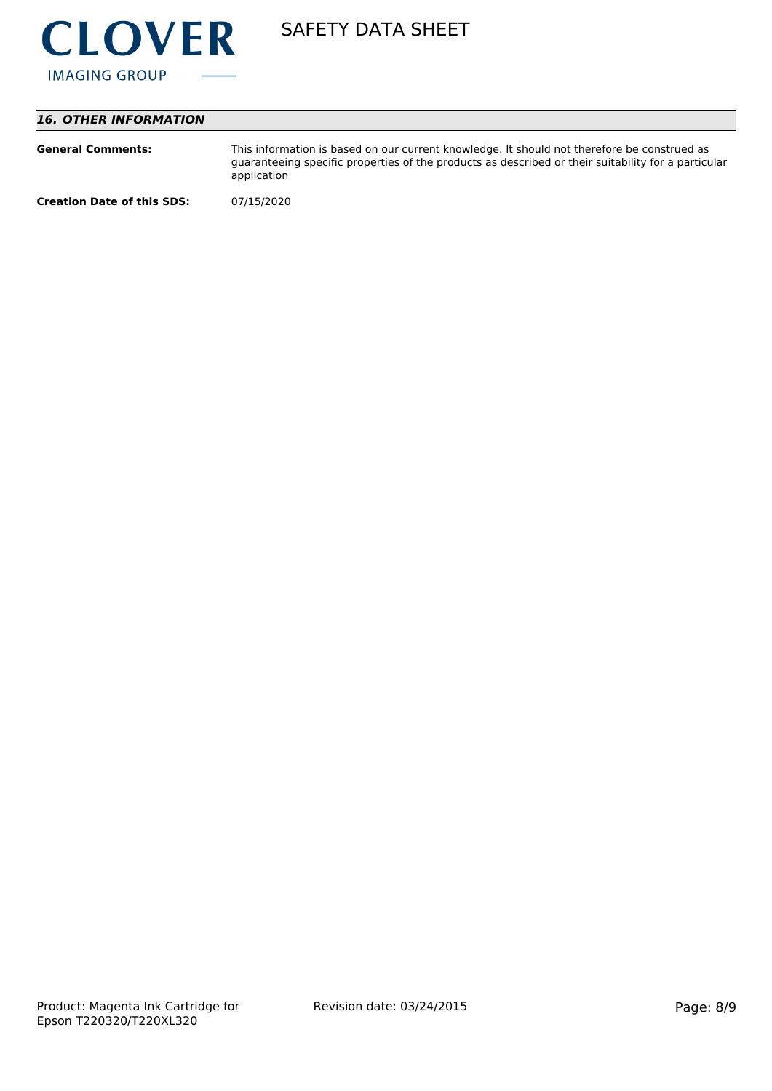

# *16. OTHER INFORMATION*

| <b>General Comments:</b>          | This information is based on our current knowledge. It should not therefore be construed as<br>guaranteeing specific properties of the products as described or their suitability for a particular<br>application |
|-----------------------------------|-------------------------------------------------------------------------------------------------------------------------------------------------------------------------------------------------------------------|
| <b>Creation Date of this SDS:</b> | 07/15/2020                                                                                                                                                                                                        |